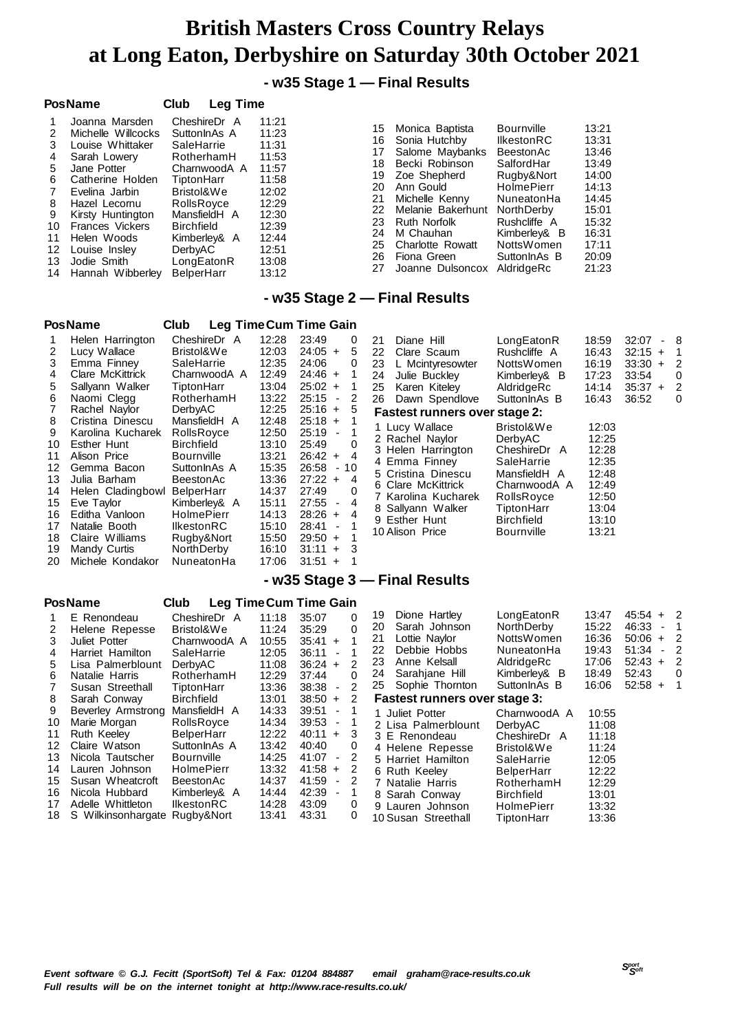### **- w35 Stage 1 — Final Results**

|                                                          | <b>PosName</b>                                                                                                                                                                                                                                                   | <b>Leg Time</b><br>Club                                                                                                                                                                                                      |                                                                                                                            |                                                                            |                                                                                                                                                                                                                               |                                                                                                                                                                                                                     |                                                                                                                   |
|----------------------------------------------------------|------------------------------------------------------------------------------------------------------------------------------------------------------------------------------------------------------------------------------------------------------------------|------------------------------------------------------------------------------------------------------------------------------------------------------------------------------------------------------------------------------|----------------------------------------------------------------------------------------------------------------------------|----------------------------------------------------------------------------|-------------------------------------------------------------------------------------------------------------------------------------------------------------------------------------------------------------------------------|---------------------------------------------------------------------------------------------------------------------------------------------------------------------------------------------------------------------|-------------------------------------------------------------------------------------------------------------------|
| 3<br>4<br>5<br>6<br>8<br>9<br>10<br>11<br>12<br>13<br>14 | Joanna Marsden<br>Michelle Willcocks<br>Louise Whittaker<br>Sarah Lowery<br>Jane Potter<br>Catherine Holden<br>Evelina Jarbin<br>Hazel Lecornu<br>Kirsty Huntington<br><b>Frances Vickers</b><br>Helen Woods<br>Louise Insley<br>Jodie Smith<br>Hannah Wibberlev | CheshireDr A<br>SuttonInAs A<br>SaleHarrie<br>RotherhamH<br>CharnwoodA A<br>TiptonHarr<br>Bristol&We<br>RollsRoyce<br>MansfieldH A<br><b>Birchfield</b><br>Kimberley& A<br><b>DerbvAC</b><br>LongEatonR<br><b>BelperHarr</b> | 11:21<br>11:23<br>11:31<br>11:53<br>11:57<br>11:58<br>12:02<br>12:29<br>12:30<br>12:39<br>12:44<br>12:51<br>13:08<br>13:12 | 15<br>16<br>17<br>18<br>19<br>20<br>21<br>22<br>23<br>24<br>25<br>26<br>27 | Monica Baptista<br>Sonia Hutchby<br>Salome Maybanks<br>Becki Robinson<br>Zoe Shepherd<br>Ann Gould<br>Michelle Kenny<br>Melanie Bakerhunt<br>Ruth Norfolk<br>M Chauhan<br>Charlotte Rowatt<br>Fiona Green<br>Joanne Dulsoncox | <b>Bournville</b><br><b>IlkestonRC</b><br>BeestonAc<br>SalfordHar<br>Rugby&Nort<br><b>HolmePierr</b><br>NuneatonHa<br><b>NorthDerby</b><br>Rushcliffe A<br>Kimberley& B<br>NottsWomen<br>SuttonlnAs B<br>AldridgeRc | 13:21<br>13:31<br>13:46<br>13:49<br>14:00<br>14:13<br>14:45<br>15:01<br>15:32<br>16:31<br>17:11<br>20:09<br>21:23 |
|                                                          |                                                                                                                                                                                                                                                                  |                                                                                                                                                                                                                              |                                                                                                                            |                                                                            |                                                                                                                                                                                                                               |                                                                                                                                                                                                                     |                                                                                                                   |

### **- w35 Stage 2 — Final Results**

## **PosName Club Leg TimeCum Time Gain**

|    | Helen Harrington        | CheshireDr A      | 12:28 | 23:49     |                          | 0  |
|----|-------------------------|-------------------|-------|-----------|--------------------------|----|
| 2  | Lucy Wallace            | Bristol&We        | 12:03 | $24:05 +$ |                          | 5  |
| 3  | Emma Finney             | SaleHarrie        | 12:35 | 24:06     |                          | 0  |
| 4  | <b>Clare McKittrick</b> | CharnwoodA A      | 12:49 | $24:46 +$ |                          | 1  |
| 5  | Sallyann Walker         | TiptonHarr        | 13:04 | $25:02 +$ |                          | 1  |
| 6  | Naomi Clegg             | RotherhamH        | 13:22 | 25:15     | $\overline{\phantom{a}}$ | 2  |
| 7  | Rachel Naylor           | DerbyAC           | 12:25 | $25:16 +$ |                          | 5  |
| 8  | Cristina Dinescu        | MansfieldH A      | 12:48 | $25:18 +$ |                          | 1  |
| 9  | Karolina Kucharek       | RollsRoyce        | 12:50 | $25:19 -$ |                          | 1  |
| 10 | Esther Hunt             | <b>Birchfield</b> | 13:10 | 25:49     |                          | 0  |
| 11 | Alison Price            | Bournville        | 13:21 | $26:42 +$ |                          | 4  |
| 12 | Gemma Bacon             | SuttonInAs A      | 15:35 | 26:58     | $\blacksquare$           | 10 |
| 13 | Julia Barham            | BeestonAc         | 13:36 | $27:22 +$ |                          | 4  |
| 14 | Helen Cladingbowl       | <b>BelperHarr</b> | 14:37 | 27:49     |                          | 0  |
| 15 | Eve Taylor              | Kimberley& A      | 15:11 | 27:55     | $\overline{\phantom{a}}$ | 4  |
| 16 | Editha Vanloon          | <b>HolmePierr</b> | 14:13 | $28:26 +$ |                          | 4  |
| 17 | Natalie Booth           | llkestonRC        | 15:10 | 28:41     | $\overline{\phantom{a}}$ | 1  |
| 18 | Claire Williams         | Rugby&Nort        | 15:50 | 29:50     | $+$                      | 1  |
| 19 | Mandy Curtis            | NorthDerby        | 16:10 | 31:11     | $\ddot{}$                | 3  |
| 20 | Michele Kondakor        | NuneatonHa        | 17:06 | 31:51     | $\ddot{}$                | 1  |
|    |                         |                   |       |           |                          |    |

| 21 | Diane Hill                           | LongEatonR   | 18:59 | 32:07     | 8 |
|----|--------------------------------------|--------------|-------|-----------|---|
| 22 | Clare Scaum                          | Rushcliffe A | 16:43 | $32:15 +$ | 1 |
| 23 | L Mcintyresowter                     | NottsWomen   | 16:19 | $33:30 +$ | 2 |
| 24 | Julie Buckley                        | Kimberley& B | 17:23 | 33:54     | 0 |
| 25 | Karen Kiteley                        | AldridgeRc   | 14:14 | $35:37 +$ | 2 |
| 26 | Dawn Spendlove                       | SuttonInAs B | 16:43 | 36:52     | 0 |
|    | <b>Fastest runners over stage 2:</b> |              |       |           |   |
|    | 1 Lucy Wallace                       | Bristol&We   | 12:03 |           |   |
|    | 2 Rachel Naylor                      | DerbyAC      | 12:25 |           |   |
|    | 3 Helen Harrington                   | CheshireDr A | 12:28 |           |   |
|    | 4 Emma Finney                        | SaleHarrie   | 12:35 |           |   |
|    | 5 Cristina Dinescu                   | MansfieldH A | 12:48 |           |   |
|    | 6 Clare McKittrick                   | CharnwoodA A | 12:49 |           |   |
|    | 7 Karolina Kucharek                  | RollsRoyce   | 12:50 |           |   |
|    | 8 Sallyann Walker                    | TiptonHarr   | 13:04 |           |   |
|    | 9 Esther Hunt                        | Birchfield   | 13:10 |           |   |
|    | 10 Alison Price                      | Bournville   | 13:21 |           |   |
|    |                                      |              |       |           |   |

### **- w35 Stage 3 — Final Results**

### **PosName Club Leg TimeCum Time Gain** 1 E Renondeau CheshireDr A 11:18 35:07 0<br>2 Helene Repesse Bristol&We 11:24 35:29 0 Helene Repesse Bristol&We 11:24 35:29<br>
Juliet Potter CharnwoodA A 10:55 35:41 + Juliet Potter CharnwoodA A 10:55 35:41 + 1 Harriet Hamilton SaleHarrie 12:05 36:11 - 1 Lisa Palmerblount DerbyAC 11:08 36:24<br>Natalie Harris RotherhamH 12:29 37:44 Natalie Harris RotherhamH 12:29 37:44 0 Susan Streethall Sarah Conway Birchfield 13:01 38:50 + 2 Beverley Armstrong MansfieldH A 14:33 39:51 - 1 Marie Morgan RollsRoyce 14:34 39:53 - 1<br>
Ruth Keeley BelperHarr 12:22 40:11 + 3 11 Ruth Keeley BelperHarr 12:22 40:11<br>12 Claire Watson SuttonlnAs A 13:42 40:40 Claire Watson SuttonInAs A 13:42 40:40 0 Nicola Tautscher Bournville 14:25 41:07 - 2 Lauren Johnson HolmePierr 13:32 41:58<br>Susan Wheatcroft BeestonAc 14:37 41:59 Susan Wheatcroft BeestonAc 14:37 41:59 - 2 16 Nicola Hubbard Kimberley& A Adelle Whittleton IlkestonRC 14:28 43:09 0 S Wilkinsonhargate Rugby&Nort 13:41 43:31 0 Dione Hartley LongEatonR 13:47 45:54 + 2 Sarah Johnson Lottie Naylor NottsWomen 16:36 50:06 + 2 Debbie Hobbs NuneatonHa 19:43 51:34 - 2 Anne Kelsall Sarahjane Hill Kimberley& B 18:49 52:43 0 Sophie Thornton  **Fastest runners over stage 3:** Juliet Potter CharnwoodA A 10:55 2 Lisa Palmerblount DerbyAC 11:08<br>3 E Renondeau CheshireDr A 11:18 3 E Renondeau CheshireDr A 11:18<br>4 Helene Renesse Bristol&We 11:24 4 Helene Repesse Bristol&We 11:24<br>5 Harriet Hamilton SaleHarrie 12:05 5 Harriet Hamilton SaleHarrie<br>6 Ruth Keeley BelperHarr Ruth Keeley BelperHarr 12:22 7 Natalie Harris 8 Sarah Conway Birchfield 13:01<br>9 Lauren Johnson HolmePierr 13:32 9 Lauren Johnson HolmePierr 13:32<br>10 Susan Streethall TiptonHarr 13:36 10 Susan Streethall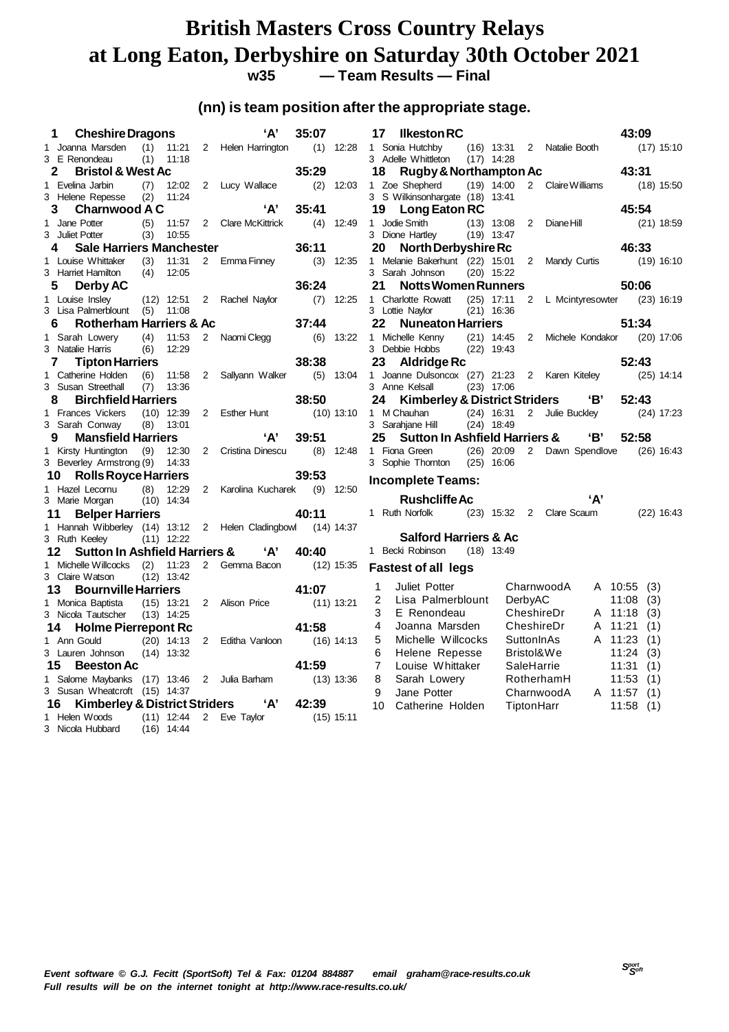# **British Masters Cross Country Relays** at Long Eaton, Derbyshire on Saturday 30th October 2021<br>w35 - Team Results - Final

**w35 — Team Results — Final**

## **(nn) is team position after the appropriate stage.**

| <b>Cheshire Dragons</b><br>1                                    |                       |                | 'А'                 | 35:07 |              | 17            | <b>Ilkeston RC</b>                            |                              |                |                          |     | 43:09   |              |
|-----------------------------------------------------------------|-----------------------|----------------|---------------------|-------|--------------|---------------|-----------------------------------------------|------------------------------|----------------|--------------------------|-----|---------|--------------|
| 1 Joanna Marsden                                                | (1)<br>11:21          |                | 2 Helen Harrington  |       | $(1)$ 12:28  |               | 1 Sonia Hutchby                               | $(16)$ 13:31                 |                | 2 Natalie Booth          |     |         | $(17)$ 15:10 |
| 3 E Renondeau                                                   | (1)<br>11:18          |                |                     |       |              |               | 3 Adelle Whittleton                           | $(17)$ 14:28                 |                |                          |     |         |              |
| <b>Bristol &amp; West Ac</b><br>2                               |                       |                |                     | 35:29 |              | 18            | Rugby & Northampton Ac                        |                              |                |                          |     | 43:31   |              |
| 1 Evelina Jarbin                                                | 12:02<br>(7)          |                | 2 Lucy Wallace      | (2)   | 12:03        |               | 1 Zoe Shepherd                                | $(19)$ 14:00                 |                | 2 Claire Williams        |     |         | $(18)$ 15:50 |
| 3 Helene Repesse                                                | (2)<br>11:24          |                |                     |       |              |               | 3 S Wilkinsonhargate (18) 13:41               |                              |                |                          |     |         |              |
| <b>Charnwood A C</b><br>3                                       |                       |                | 'A'                 | 35:41 |              | 19            | Long Eaton RC                                 |                              |                |                          |     | 45:54   |              |
| 1 Jane Potter                                                   | (5)<br>11:57          |                | 2 Clare McKittrick  | (4)   | 12:49        | 1 Jodie Smith |                                               | $(13)$ 13:08                 | $\overline{2}$ | Diane Hill               |     |         | $(21)$ 18:59 |
| 3 Juliet Potter                                                 | (3)<br>10:55          |                |                     |       |              |               | 3 Dione Hartley                               | $(19)$ 13:47                 |                |                          |     |         |              |
| <b>Sale Harriers Manchester</b><br>4                            |                       |                |                     | 36:11 |              | 20            | <b>North Derbyshire Rc</b>                    |                              |                |                          |     | 46:33   |              |
| 1 Louise Whittaker                                              | (3)<br>11:31          |                | 2 Emma Finney       | (3)   | 12:35        |               | 1 Melanie Bakerhunt (22) 15:01                |                              |                | 2 Mandy Curtis           |     |         | $(19)$ 16:10 |
| 3 Harriet Hamilton                                              | (4)<br>12:05          |                |                     | 36:24 |              | 21            | 3 Sarah Johnson<br><b>Notts Women Runners</b> | $(20)$ 15:22                 |                |                          |     | 50:06   |              |
| Derby AC<br>5                                                   |                       |                |                     |       |              |               |                                               |                              |                |                          |     |         |              |
| 1 Louise Insley<br>3 Lisa Palmerblount (5)                      | $(12)$ 12:51<br>11:08 |                | 2 Rachel Naylor     | (7)   | 12:25        |               | 1 Charlotte Rowatt<br>3 Lottie Naylor         | $(25)$ 17:11<br>$(21)$ 16:36 |                | 2 L Mcintyresowter       |     |         | $(23)$ 16:19 |
| Rotherham Harriers & Ac<br>6                                    |                       |                |                     | 37:44 |              | 22            | <b>Nuneaton Harriers</b>                      |                              |                |                          |     | 51:34   |              |
| 1 Sarah Lowery                                                  | 11:53<br>(4)          | $\overline{2}$ | Naomi Clegg         | (6)   | 13:22        |               | 1 Michelle Kenny                              | $(21)$ 14:45                 | $\mathbf{2}$   | Michele Kondakor         |     |         | $(20)$ 17:06 |
| 3 Natalie Harris                                                | (6)<br>12:29          |                |                     |       |              |               | 3 Debbie Hobbs                                | $(22)$ 19:43                 |                |                          |     |         |              |
| <b>Tipton Harriers</b><br>7                                     |                       |                |                     | 38:38 |              | 23            | <b>Aldridge Rc</b>                            |                              |                |                          |     | 52:43   |              |
| 1 Catherine Holden                                              | (6)<br>11:58          |                | 2 Sallyann Walker   |       | $(5)$ 13:04  |               | 1 Joanne Dulsoncox (27) 21:23 2 Karen Kiteley |                              |                |                          |     |         | $(25)$ 14:14 |
| 3 Susan Streethall                                              | (7)<br>13:36          |                |                     |       |              |               | 3 Anne Kelsall                                | $(23)$ 17:06                 |                |                          |     |         |              |
| <b>Birchfield Harriers</b><br>8                                 |                       |                |                     | 38:50 |              | 24            | <b>Kimberley &amp; District Striders</b>      |                              |                |                          | 'В' | 52:43   |              |
| 1 Frances Vickers                                               | $(10)$ 12:39          | $2^{\circ}$    | Esther Hunt         |       | $(10)$ 13:10 |               | 1 M Chauhan                                   | $(24)$ 16:31                 | $2^{\circ}$    | Julie Buckley            |     |         | $(24)$ 17:23 |
| 3 Sarah Conway                                                  | (8)<br>13:01          |                |                     |       |              |               | 3 Sarahjane Hill                              | $(24)$ 18:49                 |                |                          |     |         |              |
|                                                                 |                       |                |                     |       |              |               |                                               |                              |                |                          |     |         |              |
| <b>Mansfield Harriers</b><br>9                                  |                       |                | ʻA'                 | 39:51 |              | 25            | <b>Sutton In Ashfield Harriers &amp;</b>      |                              |                |                          | 'В' | 52:58   |              |
| 1 Kirsty Huntington                                             | (9)<br>12:30          | $\overline{2}$ | Cristina Dinescu    |       | $(8)$ 12:48  |               | 1 Fiona Green                                 | $(26)$ 20:09                 |                | 2 Dawn Spendlove         |     |         | $(26)$ 16:43 |
| 3 Beverley Armstrong (9)                                        | 14:33                 |                |                     |       |              |               | 3 Sophie Thornton                             | $(25)$ 16:06                 |                |                          |     |         |              |
| <b>Rolls Royce Harriers</b><br>10                               |                       |                |                     | 39:53 |              |               |                                               |                              |                |                          |     |         |              |
| 1 Hazel Lecornu                                                 | 12:29<br>(8)          |                | 2 Karolina Kucharek |       | $(9)$ 12:50  |               | <b>Incomplete Teams:</b>                      |                              |                |                          |     |         |              |
| 3 Marie Morgan                                                  | $(10)$ 14:34          |                |                     |       |              |               | <b>Rushcliffe Ac</b>                          |                              |                |                          | 'А' |         |              |
| <b>Belper Harriers</b><br>11                                    |                       |                |                     | 40:11 |              |               | 1 Ruth Norfolk                                |                              |                | (23) 15:32 2 Clare Scaum |     |         | $(22)$ 16:43 |
| 1 Hannah Wibberley (14) 13:12 2 Helen Cladingbowl               |                       |                |                     |       | $(14)$ 14:37 |               |                                               |                              |                |                          |     |         |              |
| 3 Ruth Keeley                                                   | $(11)$ 12:22          |                |                     |       |              |               | <b>Salford Harriers &amp; Ac</b>              |                              |                |                          |     |         |              |
| <b>Sutton In Ashfield Harriers &amp;</b><br>12                  |                       |                | 'А'                 | 40:40 |              |               | 1 Becki Robinson                              | $(18)$ 13:49                 |                |                          |     |         |              |
| 1 Michelle Willcocks                                            | 11:23<br>(2)          | $\overline{2}$ | Gemma Bacon         |       | $(12)$ 15:35 |               | <b>Fastest of all legs</b>                    |                              |                |                          |     |         |              |
| 3 Claire Watson                                                 | $(12)$ 13:42          |                |                     |       |              |               |                                               |                              |                |                          |     |         |              |
| <b>Bournville Harriers</b><br>13                                |                       |                |                     | 41:07 |              | 1             | Juliet Potter                                 |                              |                | CharnwoodA               |     | A 10:55 | (3)          |
| 1 Monica Baptista                                               | $(15)$ 13:21          |                | 2 Alison Price      |       | (11) 13:21   | 2             | Lisa Palmerblount                             |                              | DerbyAC        |                          |     | 11:08   | (3)          |
| 3 Nicola Tautscher                                              | $(13)$ 14:25          |                |                     |       |              | 3             | E Renondeau                                   |                              | CheshireDr     |                          |     | A 11:18 | (3)          |
| <b>Holme Pierrepont Rc</b><br>14                                |                       |                |                     | 41:58 |              | 4             | Joanna Marsden                                |                              | CheshireDr     |                          | A   | 11:21   | (1)          |
| 1 Ann Gould                                                     | $(20)$ 14:13          |                | 2 Editha Vanloon    |       | $(16)$ 14:13 | 5             | Michelle Willcocks                            |                              | SuttonInAs     |                          |     | A 11:23 | (1)          |
| 3 Lauren Johnson                                                | $(14)$ 13:32          |                |                     |       |              | 6             | Helene Repesse                                |                              | Bristol&We     |                          |     | 11:24   | (3)          |
| 15<br><b>Beeston Ac</b>                                         |                       |                |                     | 41:59 |              | 7             | Louise Whittaker                              |                              | SaleHarrie     |                          |     | 11:31   | (1)          |
| 1 Salome Maybanks (17) 13:46                                    |                       |                | 2 Julia Barham      |       | $(13)$ 13:36 | 8             | Sarah Lowery                                  |                              |                | RotherhamH               |     | 11:53   | (1)          |
| 3 Susan Wheatcroft (15) 14:37                                   |                       |                |                     |       |              | 9             | Jane Potter                                   |                              |                | CharnwoodA               |     | A 11:57 | (1)          |
| <b>Kimberley &amp; District Striders</b><br>16<br>1 Helen Woods | $(11)$ 12:44          |                | 'А'<br>2 Eve Taylor | 42:39 | $(15)$ 15:11 | 10            | Catherine Holden                              |                              | TiptonHarr     |                          |     | 11:58   | (1)          |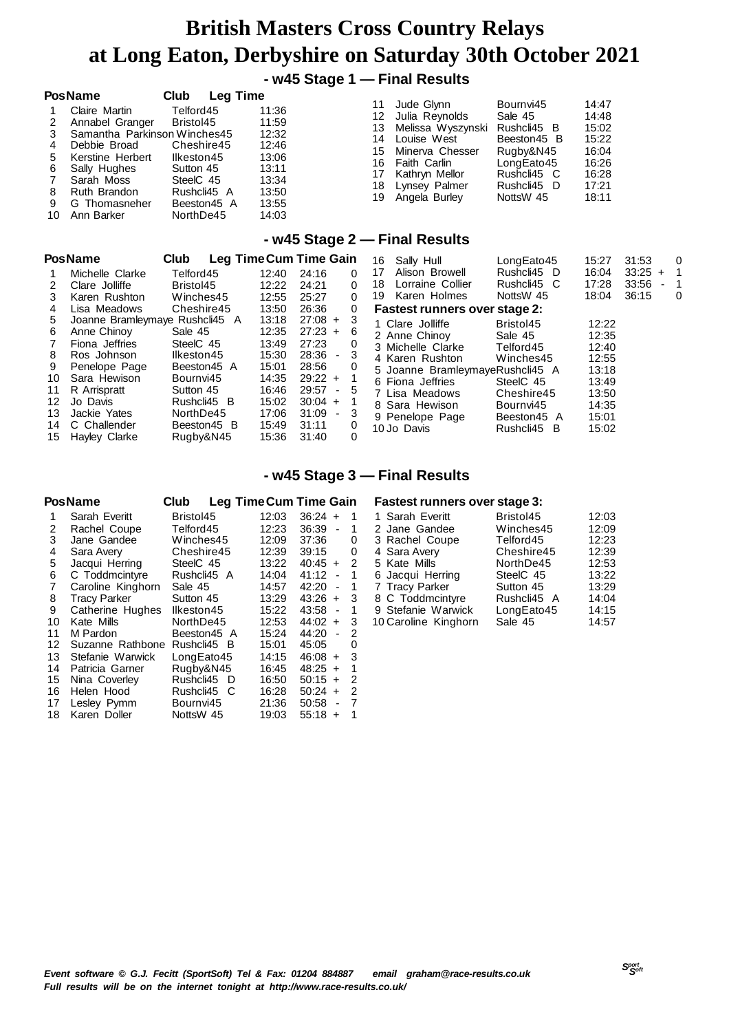## **- w45 Stage 1 — Final Results**

| <b>PosName</b><br>Claire Martin<br>Annabel Granger<br>Samantha Parkinson Winches45<br>Debbie Broad<br>4<br>Kerstine Herbert<br>5<br>Sally Hughes<br>6<br>Sarah Moss<br>Ruth Brandon<br>8<br>9<br>G Thomasneher<br>Ann Barker<br>10 | Club<br><b>Leg Time</b><br>Telford45<br>Bristol45<br>Cheshire45<br>Ilkeston45<br>Sutton 45<br>SteelC 45<br>Rushcli45 A<br>Beeston45 A<br>NorthDe45 | 11:36<br>11:59<br>12:32<br>12:46<br>13:06<br>13:11<br>13:34<br>13:50<br>13:55<br>14:03 | 11<br>12<br>13<br>14<br>15<br>16<br>17<br>18<br>19 | Jude Glynn<br>Julia Reynolds<br>Melissa Wyszynski<br>Louise West<br>Minerva Chesser<br>Faith Carlin<br>Kathryn Mellor<br>Lynsey Palmer<br>Angela Burley | Bournvi45<br>Sale 45<br>Rushcli45 B<br>Beeston45 B<br>Rugby&N45<br>LongEato45<br>Rushcli45 C<br>Rushcli45 D<br>NottsW 45 | 14:47<br>14:48<br>15:02<br>15:22<br>16:04<br>16:26<br>16:28<br>17:21<br>18:11 |  |
|------------------------------------------------------------------------------------------------------------------------------------------------------------------------------------------------------------------------------------|----------------------------------------------------------------------------------------------------------------------------------------------------|----------------------------------------------------------------------------------------|----------------------------------------------------|---------------------------------------------------------------------------------------------------------------------------------------------------------|--------------------------------------------------------------------------------------------------------------------------|-------------------------------------------------------------------------------|--|
|                                                                                                                                                                                                                                    | ---                                                                                                                                                |                                                                                        |                                                    | - w45 Stage 2 – Final Results                                                                                                                           |                                                                                                                          |                                                                               |  |

|     | <b>PosName</b>                 | <b>Club</b> | Leg Time Cum Time Gain |             |          | Sally Hull<br>16                     | LongEato45  | 15:27 | 31:53     |                          | 0 |
|-----|--------------------------------|-------------|------------------------|-------------|----------|--------------------------------------|-------------|-------|-----------|--------------------------|---|
|     | Michelle Clarke                | Telford45   | 12:40                  | 24:16       | $\Omega$ | Alison Browell<br>17                 | Rushcli45 D | 16:04 | $33:25 +$ |                          |   |
| 2   | Clare Jolliffe                 | Bristol45   | 12:22                  | 24:21       | $\Omega$ | Lorraine Collier<br>18               | Rushcli45 C | 17:28 | 33:56     | $\overline{\phantom{a}}$ |   |
| 3   | Karen Rushton                  | Winches45   | 12:55                  | 25:27       | $\Omega$ | Karen Holmes<br>19.                  | NottsW 45   | 18:04 | 36:15     |                          | 0 |
| 4   | Lisa Meadows                   | Cheshire45  | 13:50                  | 26:36       | 0        | <b>Fastest runners over stage 2:</b> |             |       |           |                          |   |
| 5.  | Joanne Bramleymaye Rushcli45 A |             | 13:18                  | $27:08 +$   | -3       | 1 Clare Jolliffe                     | Bristol45   | 12:22 |           |                          |   |
| 6   | Anne Chinoy                    | Sale 45     | 12:35                  | $27:23 +$   | -6       | 2 Anne Chinoy                        | Sale 45     | 12:35 |           |                          |   |
|     | Fiona Jeffries                 | SteelC 45   | 13:49                  | 27:23       | 0        | 3 Michelle Clarke                    | Telford45   | 12:40 |           |                          |   |
| 8   | Ros Johnson                    | Ilkeston45  | 15:30                  | $28:36 - 3$ |          | 4 Karen Rushton                      | Winches45   | 12:55 |           |                          |   |
| 9   | Penelope Page                  | Beeston45 A | 15:01                  | 28:56       | 0        | 5 Joanne BramleymayeRushcli45 A      |             | 13:18 |           |                          |   |
| 10  | Sara Hewison                   | Bournvi45   | 14:35                  | $29:22 +$   |          | 6 Fiona Jeffries                     | SteelC 45   | 13:49 |           |                          |   |
| 11  | R Arrispratt                   | Sutton 45   | 16:46                  | $29:57 - 5$ |          | 7 Lisa Meadows                       | Cheshire45  | 13:50 |           |                          |   |
| 12  | Jo Davis                       | Rushcli45 B | 15:02                  | $30:04 +$   |          | 8 Sara Hewison                       | Bournvi45   | 14:35 |           |                          |   |
| 13. | Jackie Yates                   | NorthDe45   | 17:06                  | $31:09 - 3$ |          | 9 Penelope Page                      | Beeston45 A | 15:01 |           |                          |   |
| 14  | C Challender                   | Beeston45 B | 15:49                  | 31:11       | 0        | 10 Jo Davis                          | Rushcli45 B | 15:02 |           |                          |   |
|     | 15 Hayley Clarke               | Rugby&N45   | 15:36                  | 31:40       | 0        |                                      |             |       |           |                          |   |

### **- w45 Stage 3 — Final Results**

|    | <b>PosName</b>      | Club             | <b>Leg Time Cum Time Gain</b> |                                   |                |
|----|---------------------|------------------|-------------------------------|-----------------------------------|----------------|
| 1  | Sarah Everitt       | Bristol45        | 12:03                         | $36:24 +$                         | 1              |
| 2  | Rachel Coupe        | Telford45        | 12:23                         | $36:39 -$                         | 1              |
| 3  | Jane Gandee         | Winches45        | 12:09                         | 37:36                             | 0              |
| 4  | Sara Avery          | Cheshire45       | 12:39                         | 39:15                             | 0              |
| 5  | Jacqui Herring      | SteelC 45        | 13:22                         | $40:45 +$                         | 2              |
| 6  | C Toddmcintyre      | Rushcli45 A      | 14:04                         | 41:12<br>$\overline{\phantom{a}}$ | 1              |
| 7  | Caroline Kinghorn   | Sale 45          | 14:57                         | 42:20<br>$\overline{\phantom{a}}$ | 1              |
| 8  | <b>Tracy Parker</b> | Sutton 45        | 13:29                         | $43:26 +$                         | 3              |
| 9  | Catherine Hughes    | llkeston45       | 15:22                         | 43:58<br>$\overline{\phantom{a}}$ | 1              |
| 10 | Kate Mills          | NorthDe45        | 12:53                         | 44:02 +                           | 3              |
| 11 | M Pardon            | Beeston45 A      | 15:24                         | 44:20<br>$\sim$                   | 2              |
| 12 | Suzanne Rathbone    | Rushcli45<br>- B | 15:01                         | 45:05                             | 0              |
| 13 | Stefanie Warwick    | LongEato45       | 14:15                         | $46:08 +$                         | 3              |
| 14 | Patricia Garner     | Rugby&N45        | 16:45                         | $48:25 +$                         | 1              |
| 15 | Nina Coverley       | Rushcli45<br>- D | 16:50                         | $50:15 +$                         | 2              |
| 16 | Helen Hood          | Rushcli45 C      | 16:28                         | $50:24 +$                         | $\overline{2}$ |
| 17 | Lesley Pymm         | Bournvi45        | 21:36                         | 50:58<br>$\overline{\phantom{a}}$ | $\overline{7}$ |
| 18 | Karen Doller        | NottsW 45        | 19:03                         | 55:18<br>$\ddot{}$                | 1              |

### **Fastest runners over stage 3:**

| 1 Sarah Everitt      | Bristol45   | 12:03 |
|----------------------|-------------|-------|
| 2 Jane Gandee        | Winches45   | 12:09 |
| 3 Rachel Coupe       | Telford45   | 12:23 |
| 4 Sara Avery         | Cheshire45  | 12:39 |
| 5 Kate Mills         | NorthDe45   | 12:53 |
| 6 Jacqui Herring     | SteelC 45   | 13:22 |
| 7 Tracy Parker       | Sutton 45   | 13:29 |
| 8 C Toddmcintyre     | Rushcli45 A | 14:04 |
| 9 Stefanie Warwick   | LongEato45  | 14:15 |
| 10 Caroline Kinghorn | Sale 45     | 14:57 |
|                      |             |       |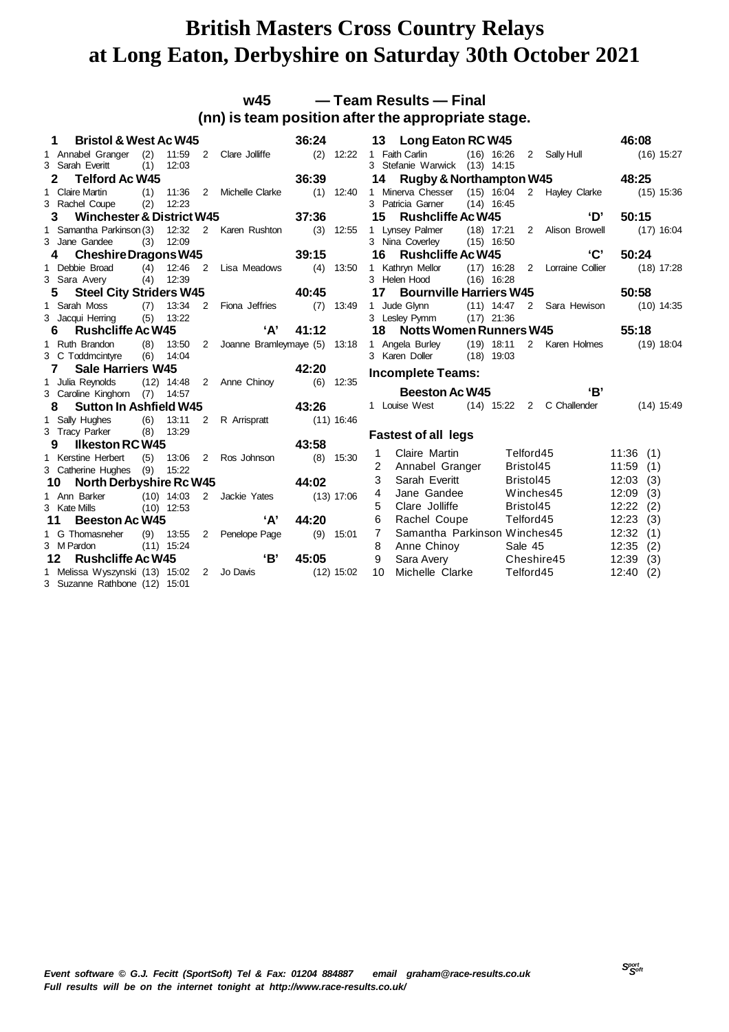## **w45 — Team Results — Final (nn) is team position after the appropriate stage.**

|    | 1<br><b>Bristol &amp; West Ac W45</b>        |     |              |                |                                      | 36:24        |              |    | 13 Long Eaton RC W45                      |              |              |           |                               | 46:08 |              |
|----|----------------------------------------------|-----|--------------|----------------|--------------------------------------|--------------|--------------|----|-------------------------------------------|--------------|--------------|-----------|-------------------------------|-------|--------------|
|    | 1 Annabel Granger (2) 11:59 2 Clare Jolliffe |     |              |                |                                      |              |              |    | (2) 12:22 1 Faith Carlin                  |              |              |           | (16) 16:26 2 Sally Hull       |       | $(16)$ 15:27 |
|    | 3 Sarah Everitt                              | (1) | 12:03        |                |                                      |              |              |    | 3 Stefanie Warwick (13) 14:15             |              |              |           |                               |       |              |
|    | <b>Telford Ac W45</b><br>$\mathbf{2}$        |     |              |                |                                      | 36:39        |              | 14 |                                           |              |              |           | Rugby & Northampton W45 48:25 |       |              |
|    | 1 Claire Martin                              | (1) | 11:36        |                | 2 Michelle Clarke (1) 12:40          |              |              |    | 1 Minerva Chesser (15) 16:04              |              |              |           | 2 Hayley Clarke               |       | $(15)$ 15:36 |
|    | 3 Rachel Coupe                               | (2) | 12:23        |                |                                      |              |              |    | 3 Patricia Garner                         |              | $(14)$ 16:45 |           |                               |       |              |
|    | Winchester & District W45<br>3               |     |              |                |                                      | 37:36        |              | 15 | <b>Rushcliffe Ac W45</b>                  |              |              |           | ʻD'                           | 50:15 |              |
|    | 1 Samantha Parkinson (3)                     |     |              |                | 12:32 2 Karen Rushton (3) 12:55      |              |              |    | 1 Lynsey Palmer                           |              |              |           | (18) 17:21 2 Alison Browell   |       | $(17)$ 16:04 |
|    | 3 Jane Gandee                                | (3) | 12:09        |                |                                      |              |              |    | 3 Nina Coverley (15) 16:50                |              |              |           |                               |       |              |
|    | Cheshire Dragons W45                         |     |              |                |                                      | 39:15        |              | 16 | <b>Rushcliffe Ac W45</b>                  |              |              |           | 'C'                           | 50:24 |              |
|    | 1 Debbie Broad                               |     |              |                | (4) 12:46 2 Lisa Meadows (4) 13:50   |              |              |    | 1 Kathryn Mellor                          |              |              |           | (17) 16:28 2 Lorraine Collier |       | $(18)$ 17:28 |
|    | 3 Sara Avery                                 | (4) | 12:39        |                |                                      |              |              |    | 3 Helen Hood                              |              | $(16)$ 16:28 |           |                               |       |              |
|    | <b>Steel City Striders W45</b><br>5          |     |              |                | 40:45                                |              |              | 17 | <b>Bournville Harriers W45</b>            |              |              |           |                               | 50:58 |              |
|    | 1 Sarah Moss                                 | (7) |              |                | 13:34 2 Fiona Jeffries (7) 13:49     |              |              |    | 1 Jude Glynn (11) 14:47 2 Sara Hewison    |              |              |           |                               |       | $(10)$ 14:35 |
|    | 3 Jacqui Herring                             | (5) | 13:22        |                |                                      |              |              |    | 3 Lesley Pymm                             | $(17)$ 21:36 |              |           |                               |       |              |
|    | <b>Rushcliffe Ac W45</b><br>6                |     |              |                | 'А'                                  | 41:12        |              |    | 18 Notts Women Runners W45                |              |              |           |                               | 55:18 |              |
|    | 1 Ruth Brandon                               | (8) |              |                | 13:50 2 Joanne Bramleymaye (5) 13:18 |              |              |    | 1 Angela Burley (19) 18:11 2 Karen Holmes |              |              |           |                               |       | $(19)$ 18:04 |
|    | 3 C Toddmcintyre                             | (6) | 14:04        |                |                                      |              |              |    | 3 Karen Doller (18) 19:03                 |              |              |           |                               |       |              |
|    |                                              |     |              |                |                                      |              |              |    |                                           |              |              |           |                               |       |              |
|    | <b>Sale Harriers W45</b><br>$\mathbf{7}$     |     |              |                | 42:20                                |              |              |    |                                           |              |              |           |                               |       |              |
|    | 1 Julia Reynolds                             |     |              |                | (12) 14:48 2 Anne Chinoy             |              | $(6)$ 12:35  |    | <b>Incomplete Teams:</b>                  |              |              |           |                               |       |              |
|    | 3 Caroline Kinghorn (7) 14:57                |     |              |                |                                      |              |              |    | <b>Beeston Ac W45</b>                     |              |              |           | 'B'                           |       |              |
|    | <b>Sutton In Ashfield W45</b><br>8           |     |              |                | 43:26                                |              |              |    | 1 Louise West (14) 15:22 2 C Challender   |              |              |           |                               |       | $(14)$ 15:49 |
|    | 1 Sally Hughes                               | (6) | 13:11        |                | 2 R Arrispratt                       | $(11)$ 16:46 |              |    |                                           |              |              |           |                               |       |              |
|    | 3 Tracy Parker                               | (8) | 13:29        |                |                                      |              |              |    |                                           |              |              |           |                               |       |              |
|    | <b>Ilkeston RC W45</b><br>9                  |     |              |                | 43:58                                |              |              |    | <b>Fastest of all legs</b>                |              |              |           |                               |       |              |
|    | 1 Kerstine Herbert                           | (5) |              |                | 13:06 2 Ros Johnson                  |              | $(8)$ 15:30  | 1  | Claire Martin                             |              |              | Telford45 |                               | 11:36 | (1)          |
|    | 3 Catherine Hughes (9)                       |     | 15:22        |                |                                      |              |              | 2  | Annabel Granger                           |              |              | Bristol45 |                               | 11:59 | (1)          |
|    | <b>North Derbyshire Rc W45</b><br>10         |     |              |                | 44:02                                |              |              | 3  | Sarah Everitt                             |              |              | Bristol45 |                               | 12:03 | (3)          |
|    | 1 Ann Barker                                 |     |              |                | (10) 14:03 2 Jackie Yates            |              | (13) 17:06   | 4  | Jane Gandee                               |              |              | Winches45 |                               | 12:09 | (3)          |
|    | 3 Kate Mills                                 |     | $(10)$ 12:53 |                |                                      |              |              | 5  | Clare Jolliffe                            |              |              | Bristol45 |                               | 12:22 | (2)          |
| 11 | <b>Beeston Ac W45</b>                        |     |              |                | A'                                   | 44:20        |              | 6  | Rachel Coupe                              |              |              |           | Telford45                     | 12:23 | (3)          |
|    | 1 G Thomasneher                              |     | $(9)$ 13:55  | $\overline{2}$ | Penelope Page                        | (9)          | 15:01        | 7  | Samantha Parkinson Winches45              |              |              |           |                               | 12:32 | (1)          |
|    | 3 M Pardon                                   |     | $(11)$ 15:24 |                |                                      |              |              | 8  | Anne Chinoy                               |              |              | Sale 45   |                               | 12:35 | (2)          |
|    | <b>Rushcliffe Ac W45</b><br>12 <sup>1</sup>  |     |              |                | 'В'                                  | 45:05        |              | 9  | Sara Avery                                |              |              |           | Cheshire45                    | 12:39 | (3)          |
|    | 1 Melissa Wyszynski (13) 15:02 2 Jo Davis    |     |              |                |                                      |              | $(12)$ 15:02 | 10 | Michelle Clarke                           |              |              | Telford45 |                               | 12:40 | (2)          |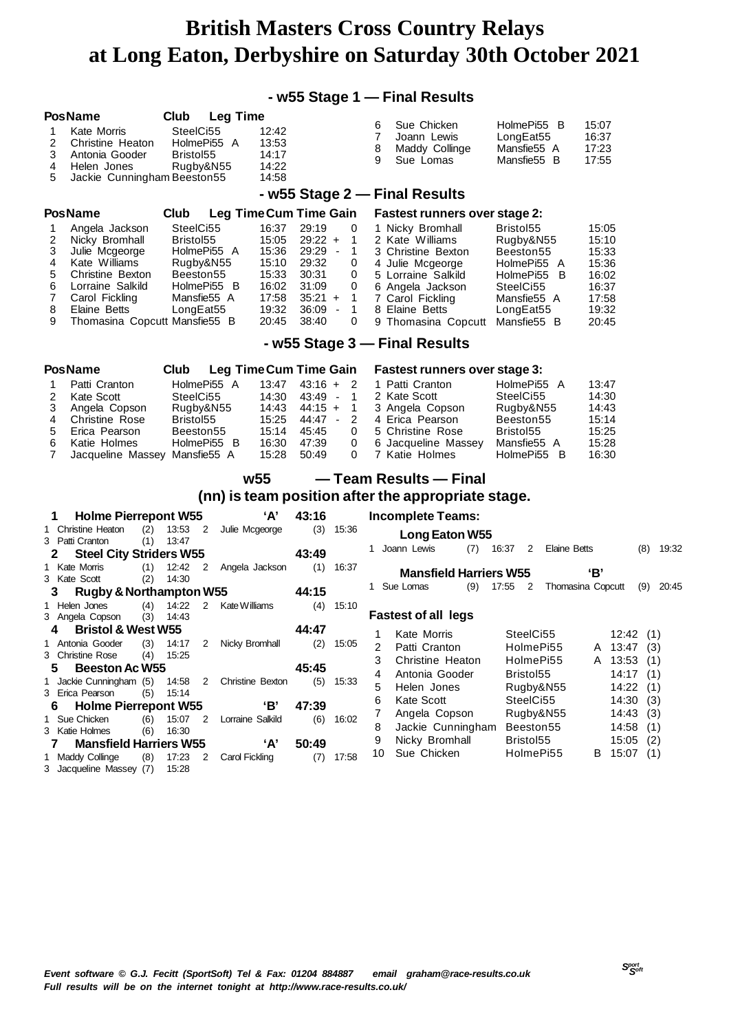## **- w55 Stage 1 — Final Results**

|        | <b>PosName</b>                                            | Club      |                            | <b>Leg Time</b>        |                    |                  |        |                                                         |                                   |                   |             |             |
|--------|-----------------------------------------------------------|-----------|----------------------------|------------------------|--------------------|------------------|--------|---------------------------------------------------------|-----------------------------------|-------------------|-------------|-------------|
| 1      | <b>Kate Morris</b>                                        | SteelCi55 |                            | 12:42                  |                    |                  | 6<br>7 | Sue Chicken<br>Joann Lewis                              | HolmePi55 B<br>LongEat55          | 15:07<br>16:37    |             |             |
| 2      | Christine Heaton                                          |           | HolmePi55 A                | 13:53                  |                    |                  | 8      | Maddy Collinge                                          | Mansfie55 A                       | 17:23             |             |             |
| 3      | Antonia Gooder                                            | Bristol55 |                            | 14:17                  |                    |                  | 9      | Sue Lomas                                               | Mansfie55 B                       | 17:55             |             |             |
| 4      | Helen Jones                                               |           | Rugby&N55                  | 14:22                  |                    |                  |        |                                                         |                                   |                   |             |             |
| 5      | Jackie Cunningham Beeston 55                              |           |                            | 14:58                  |                    |                  |        |                                                         |                                   |                   |             |             |
|        |                                                           |           |                            |                        |                    |                  |        | - w55 Stage 2 - Final Results                           |                                   |                   |             |             |
|        | <b>PosName</b>                                            | Club      |                            | Leg Time Cum Time Gain |                    |                  |        | <b>Fastest runners over stage 2:</b>                    |                                   |                   |             |             |
| 1      | Angela Jackson                                            |           | SteelCi55                  | 16:37                  | 29:19              | 0                |        | 1 Nicky Bromhall                                        | Bristol55                         | 15:05             |             |             |
| 2      | Nicky Bromhall                                            | Bristol55 |                            | 15:05                  | $29:22 +$<br>29:29 | 1                |        | 2 Kate Williams                                         | Rugby&N55                         | 15:10             |             |             |
| 3<br>4 | Julie Mcgeorge<br>Kate Williams                           |           | HolmePi55 A<br>Rugby&N55   | 15:36<br>15:10         | 29:32              | 1<br>$\sim$<br>0 |        | 3 Christine Bexton                                      | Beeston 55<br>HolmePi55 A         | 15:33<br>15:36    |             |             |
| 5      | Christine Bexton                                          |           | Beeston 55                 | 15:33                  | 30:31              | 0                |        | 4 Julie Mcgeorge<br>5 Lorraine Salkild                  | HolmePi55 B                       | 16:02             |             |             |
| 6      | Lorraine Salkild                                          |           | HolmePi55 B                | 16:02                  | 31:09              | 0                |        | 6 Angela Jackson                                        | SteelCi55                         | 16:37             |             |             |
| 7      | Carol Fickling                                            |           | Mansfie55 A                | 17:58                  | $35:21 +$          | 1                |        | 7 Carol Fickling                                        | Mansfie55 A                       | 17:58             |             |             |
| 8      | Elaine Betts                                              |           | LongEat55                  | 19:32                  | 36:09              | 1<br>$\sim$      |        | 8 Elaine Betts                                          | LongEat55                         | 19:32             |             |             |
| 9      | Thomasina Copcutt Mansfie55 B                             |           |                            | 20:45                  | 38:40              | 0                |        | 9 Thomasina Copcutt                                     | Mansfie55 B                       | 20:45             |             |             |
|        |                                                           |           |                            |                        |                    |                  |        | - w55 Stage 3 - Final Results                           |                                   |                   |             |             |
|        | <b>PosName</b>                                            |           |                            | Leg Time Cum Time Gain |                    |                  |        |                                                         |                                   |                   |             |             |
| 1      | Patti Cranton                                             | Club      | HolmePi55 A                | 13:47                  | $43:16 +$          |                  |        | <b>Fastest runners over stage 3:</b><br>1 Patti Cranton | HolmePi55 A                       | 13:47             |             |             |
| 2      | Kate Scott                                                |           | SteelCi55                  | 14:30                  | $43:49 -$          | - 2<br>-1        |        | 2 Kate Scott                                            | SteelCi55                         | 14:30             |             |             |
| 3      | Angela Copson                                             |           | Rugby&N55                  | 14:43                  | $44:15 +$          | 1                |        | 3 Angela Copson                                         | Rugby&N55                         | 14:43             |             |             |
| 4      | <b>Christine Rose</b>                                     | Bristol55 |                            | 15:25                  | $44:47 -$          | 2                |        | 4 Erica Pearson                                         | Beeston 55                        | 15:14             |             |             |
| 5      | Erica Pearson                                             |           | Beeston 55                 | 15:14                  | 45:45              | 0                |        | 5 Christine Rose                                        | Bristol55                         | 15:25             |             |             |
| 6      | Katie Holmes                                              |           | HolmePi55 B                | 16:30                  | 47:39              | 0                |        | 6 Jacqueline Massey                                     | Mansfie55 A                       | 15:28             |             |             |
| 7      | Jacqueline Massey Mansfie55 A                             |           |                            | 15:28                  | 50:49              | 0                |        | 7 Katie Holmes                                          | HolmePi55 B                       | 16:30             |             |             |
|        |                                                           |           |                            | w <sub>55</sub>        |                    |                  |        | — Team Results — Final                                  |                                   |                   |             |             |
|        |                                                           |           |                            |                        |                    |                  |        | (nn) is team position after the appropriate stage.      |                                   |                   |             |             |
| 1      | <b>Holme Pierrepont W55</b>                               |           |                            | ʻA'                    | 43:16              |                  |        | <b>Incomplete Teams:</b>                                |                                   |                   |             |             |
|        | 1 Christine Heaton<br>(2)                                 | 13:53     | $\overline{\phantom{0}}^2$ | Julie Mcgeorge         | (3)                | 15:36            |        |                                                         |                                   |                   |             |             |
|        | 3 Patti Cranton<br>(1)                                    | 13:47     |                            |                        |                    |                  |        | Long Eaton W55<br>1 Joann Lewis<br>$(7)$ 16:37          | 2                                 | Elaine Betts      |             | $(8)$ 19:32 |
| 2      | <b>Steel City Striders W55</b>                            |           |                            |                        | 43:49              |                  |        |                                                         |                                   |                   |             |             |
|        | 1 Kate Morris<br>(1)                                      | 12:42     | $\overline{2}$             | Angela Jackson         | (1)                | 16:37            |        | <b>Mansfield Harriers W55</b>                           |                                   | 'В'               |             |             |
| З      | 3 Kate Scott<br>(2)<br><b>Rugby &amp; Northampton W55</b> | 14:30     |                            |                        | 44:15              |                  |        | 1 Sue Lomas<br>(9)                                      | 17:55<br>$\overline{\phantom{a}}$ | Thomasina Copcutt |             | $(9)$ 20:45 |
|        | 1 Helen Jones<br>(4)                                      | 14:22     |                            | 2 Kate Williams        |                    | $(4)$ 15:10      |        |                                                         |                                   |                   |             |             |
|        | (3)<br>3 Angela Copson                                    | 14:43     |                            |                        |                    |                  |        | <b>Fastest of all legs</b>                              |                                   |                   |             |             |
| 4      | <b>Bristol &amp; West W55</b>                             |           |                            |                        | 44:47              |                  | 1      | Kate Morris                                             | SteelCi55                         |                   | 12:42(1)    |             |
|        | 1 Antonia Gooder<br>(3)                                   | 14:17     | $\mathbf{2}$               | Nicky Bromhall         | (2)                | 15:05            | 2      | Patti Cranton                                           | HolmePi55                         |                   | A 13:47 (3) |             |
|        | 3 Christine Rose<br>(4)                                   | 15:25     |                            |                        |                    |                  | 3      | Christine Heaton                                        | HolmePi55                         |                   | A 13:53 (1) |             |
| 5      | <b>Beeston Ac W55</b>                                     |           |                            |                        | 45:45              |                  | 4      | Antonia Gooder                                          | Bristol55                         |                   | 14:17(1)    |             |
|        | 1 Jackie Cunningham (5)                                   | 14:58     | 2                          | Christine Bexton       | (5)                | 15:33            | 5      | Helen Jones                                             | Rugby&N55                         |                   | 14:22       | (1)         |
|        | 3 Erica Pearson<br>(5)                                    | 15:14     |                            |                        |                    |                  | 6      | Kate Scott                                              | SteelCi55                         |                   | 14:30       | (3)         |
| 6      | <b>Holme Pierrepont W55</b>                               |           |                            | 'Β'                    | 47:39              |                  | 7      | Angela Copson                                           | Rugby&N55                         |                   | 14:43(3)    |             |
|        | 1 Sue Chicken<br>(6)                                      | 15:07     | $\overline{2}$             | Lorraine Salkild       | (6)                | 16:02            | 8      | Jackie Cunningham                                       | Beeston <sub>55</sub>             |                   | 14:58       | (1)         |
| 7      | 3 Katie Holmes<br>(6)<br><b>Mansfield Harriers W55</b>    | 16:30     |                            | 'А'                    | 50:49              |                  | 9      | Nicky Bromhall                                          | Bristol55                         |                   | 15:05       | (2)         |
|        | 1 Maddy Collinge<br>(8)                                   | 17:23     | 2                          | <b>Carol Fickling</b>  |                    | $(7)$ 17:58      | 10     | Sue Chicken                                             | HolmePi55                         | B                 | 15:07(1)    |             |
|        | 3 Jacqueline Massey (7)                                   | 15:28     |                            |                        |                    |                  |        |                                                         |                                   |                   |             |             |
|        |                                                           |           |                            |                        |                    |                  |        |                                                         |                                   |                   |             |             |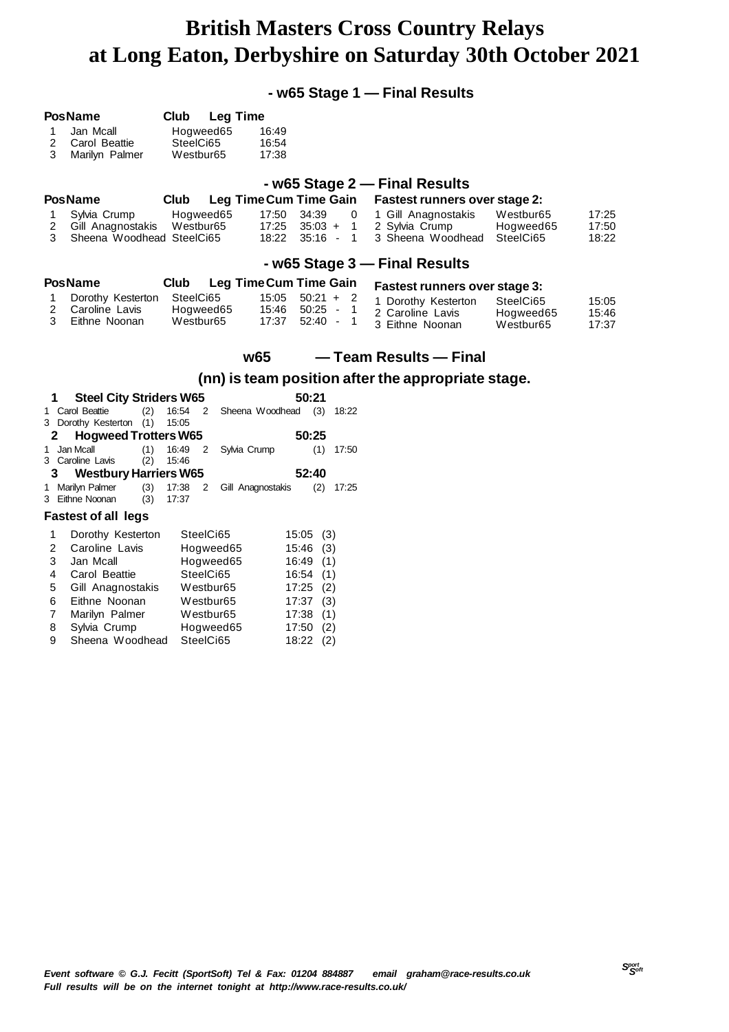**- w65 Stage 1 — Final Results**

| 1<br>2<br>3                | <b>PosName</b><br>Jan Mcall<br>Carol Beattie<br>Marilyn Palmer                                                                                                    | Club<br>Hogweed65<br>SteelCi65<br>Westbur <sub>65</sub>                                | <b>Leg Time</b><br>16:49<br>16:54<br>17:38               |                                                                                              |                      |                                                                                                                                     |                                                 |                         |
|----------------------------|-------------------------------------------------------------------------------------------------------------------------------------------------------------------|----------------------------------------------------------------------------------------|----------------------------------------------------------|----------------------------------------------------------------------------------------------|----------------------|-------------------------------------------------------------------------------------------------------------------------------------|-------------------------------------------------|-------------------------|
| 1<br>2<br>3                | <b>PosName</b><br>Sylvia Crump<br>Gill Anagnostakis<br>Sheena Woodhead SteelCi65                                                                                  | Club<br>Hogweed65<br>Westbur65                                                         | Leg Time Cum Time Gain<br>17:50<br>17:25<br>18:22        | 34:39<br>$35:03 +$<br>$35:16 - 1$                                                            | 0<br>$\overline{1}$  | - w65 Stage 2 - Final Results<br><b>Fastest runners over stage 2:</b><br>1 Gill Anagnostakis<br>2 Sylvia Crump<br>3 Sheena Woodhead | Westbur65<br>Hogweed65<br>SteelCi65             | 17:25<br>17:50<br>18:22 |
| 1<br>2<br>3                | <b>PosName</b><br>Dorothy Kesterton<br>Caroline Lavis<br>Eithne Noonan                                                                                            | Club<br>SteelCi65<br>Hogweed65<br>Westbur <sub>65</sub>                                | <b>Leg Time Cum Time Gain</b><br>15:05<br>15:46<br>17:37 | $50:21 + 2$<br>$50:25 -$<br>$52:40 -$                                                        | -1<br>$\overline{1}$ | - w65 Stage 3 - Final Results<br><b>Fastest runners over stage 3:</b><br>1 Dorothy Kesterton<br>2 Caroline Lavis<br>3 Eithne Noonan | SteelCi65<br>Hogweed65<br>Westbur <sub>65</sub> | 15:05<br>15:46<br>17:37 |
|                            |                                                                                                                                                                   |                                                                                        | w <sub>65</sub>                                          |                                                                                              |                      | — Team Results — Final<br>(nn) is team position after the appropriate stage.                                                        |                                                 |                         |
| 1<br>2<br>1                | <b>Steel City Striders W65</b><br>1 Carol Beattie<br>(2)<br>3 Dorothy Kesterton (1)<br><b>Hogweed Trotters W65</b><br>Jan Mcall<br>(1)<br>3 Caroline Lavis<br>(2) | 16:54<br>2<br>15:05<br>16:49<br>2<br>15:46                                             | Sheena Woodhead (3) 18:22<br>Sylvia Crump                | 50:21<br>50:25<br>(1)                                                                        | 17:50                |                                                                                                                                     |                                                 |                         |
| 3                          | <b>Westbury Harriers W65</b><br>1 Marilyn Palmer<br>(3)<br>(3)<br>3 Eithne Noonan<br><b>Fastest of all legs</b>                                                   | 17:38<br>2<br>17:37                                                                    | Gill Anagnostakis                                        | 52:40<br>(2)                                                                                 | 17:25                |                                                                                                                                     |                                                 |                         |
| 1<br>2<br>3<br>4<br>5<br>6 | Dorothy Kesterton<br>Caroline Lavis<br>Jan Mcall<br>Carol Beattie<br>Gill Anagnostakis<br>Eithne Noonan                                                           | SteelCi65<br>Hogweed65<br>Hogweed65<br>SteelCi65<br>Westbur <sub>65</sub><br>Westbur65 |                                                          | 15:05<br>(3)<br>15:46<br>(3)<br>16:49<br>(1)<br>16:54<br>(1)<br>17:25<br>(2)<br>17:37<br>(3) |                      |                                                                                                                                     |                                                 |                         |

7 Marilyn Palmer Westbur65 17:38 (1)<br>8 Sylvia Crump Hogweed65 17:50 (2) 8 Sylvia Crump Hogweed65 17:50 (2)<br>9 Sheena Woodhead SteelCi65 18:22 (2)

9 Sheena Woodhead SteelCi65